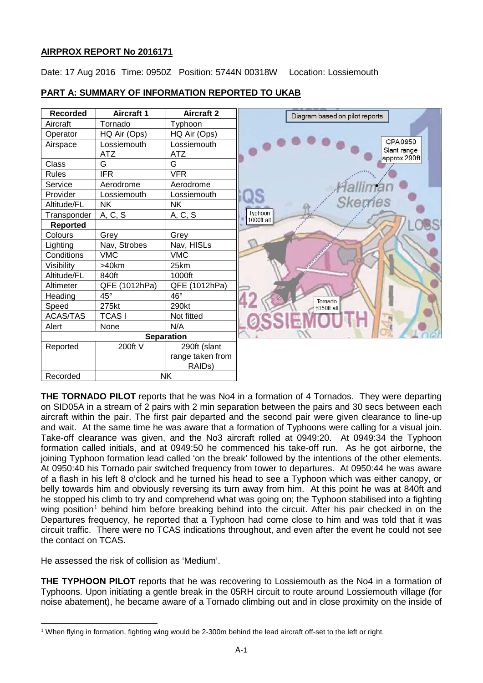# **AIRPROX REPORT No 2016171**

Date: 17 Aug 2016 Time: 0950Z Position: 5744N 00318W Location: Lossiemouth



# **PART A: SUMMARY OF INFORMATION REPORTED TO UKAB**

**THE TORNADO PILOT** reports that he was No4 in a formation of 4 Tornados. They were departing on SID05A in a stream of 2 pairs with 2 min separation between the pairs and 30 secs between each aircraft within the pair. The first pair departed and the second pair were given clearance to line-up and wait. At the same time he was aware that a formation of Typhoons were calling for a visual join. Take-off clearance was given, and the No3 aircraft rolled at 0949:20. At 0949:34 the Typhoon formation called initials, and at 0949:50 he commenced his take-off run. As he got airborne, the joining Typhoon formation lead called 'on the break' followed by the intentions of the other elements. At 0950:40 his Tornado pair switched frequency from tower to departures. At 0950:44 he was aware of a flash in his left 8 o'clock and he turned his head to see a Typhoon which was either canopy, or belly towards him and obviously reversing its turn away from him. At this point he was at 840ft and he stopped his climb to try and comprehend what was going on; the Typhoon stabilised into a fighting wing position<sup>[1](#page-0-0)</sup> behind him before breaking behind into the circuit. After his pair checked in on the Departures frequency, he reported that a Typhoon had come close to him and was told that it was circuit traffic. There were no TCAS indications throughout, and even after the event he could not see the contact on TCAS.

He assessed the risk of collision as 'Medium'.

 $\overline{\phantom{a}}$ 

**THE TYPHOON PILOT** reports that he was recovering to Lossiemouth as the No4 in a formation of Typhoons. Upon initiating a gentle break in the 05RH circuit to route around Lossiemouth village (for noise abatement), he became aware of a Tornado climbing out and in close proximity on the inside of

<span id="page-0-0"></span><sup>1</sup> When flying in formation, fighting wing would be 2-300m behind the lead aircraft off-set to the left or right.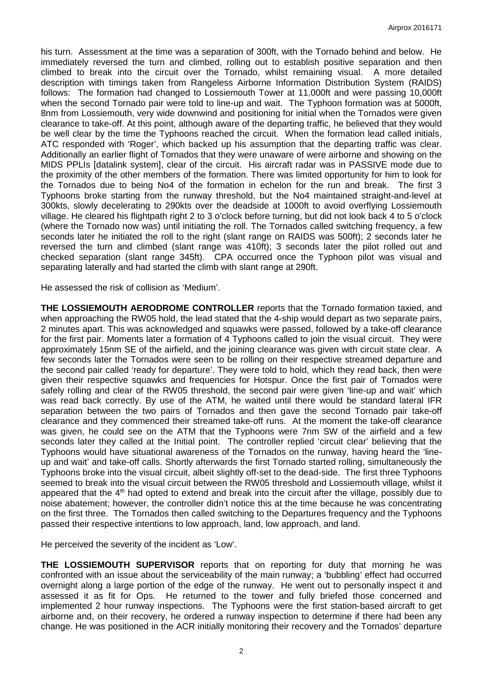his turn. Assessment at the time was a separation of 300ft, with the Tornado behind and below. He immediately reversed the turn and climbed, rolling out to establish positive separation and then climbed to break into the circuit over the Tornado, whilst remaining visual. A more detailed description with timings taken from Rangeless Airborne Information Distribution System (RAIDS) follows: The formation had changed to Lossiemouth Tower at 11,000ft and were passing 10,000ft when the second Tornado pair were told to line-up and wait. The Typhoon formation was at 5000ft, 8nm from Lossiemouth, very wide downwind and positioning for initial when the Tornados were given clearance to take-off. At this point, although aware of the departing traffic, he believed that they would be well clear by the time the Typhoons reached the circuit. When the formation lead called initials, ATC responded with 'Roger', which backed up his assumption that the departing traffic was clear. Additionally an earlier flight of Tornados that they were unaware of were airborne and showing on the MIDS PPLIs [datalink system], clear of the circuit. His aircraft radar was in PASSIVE mode due to the proximity of the other members of the formation. There was limited opportunity for him to look for the Tornados due to being No4 of the formation in echelon for the run and break. The first 3 Typhoons broke starting from the runway threshold, but the No4 maintained straight-and-level at 300kts, slowly decelerating to 290kts over the deadside at 1000ft to avoid overflying Lossiemouth village. He cleared his flightpath right 2 to 3 o'clock before turning, but did not look back 4 to 5 o'clock (where the Tornado now was) until initiating the roll. The Tornados called switching frequency, a few seconds later he initiated the roll to the right (slant range on RAIDS was 500ft); 2 seconds later he reversed the turn and climbed (slant range was 410ft); 3 seconds later the pilot rolled out and checked separation (slant range 345ft). CPA occurred once the Typhoon pilot was visual and separating laterally and had started the climb with slant range at 290ft.

He assessed the risk of collision as 'Medium'.

**THE LOSSIEMOUTH AERODROME CONTROLLER** reports that the Tornado formation taxied, and when approaching the RW05 hold, the lead stated that the 4-ship would depart as two separate pairs, 2 minutes apart. This was acknowledged and squawks were passed, followed by a take-off clearance for the first pair. Moments later a formation of 4 Typhoons called to join the visual circuit. They were approximately 15nm SE of the airfield, and the joining clearance was given with circuit state clear. A few seconds later the Tornados were seen to be rolling on their respective streamed departure and the second pair called 'ready for departure'. They were told to hold, which they read back, then were given their respective squawks and frequencies for Hotspur. Once the first pair of Tornados were safely rolling and clear of the RW05 threshold, the second pair were given 'line-up and wait' which was read back correctly. By use of the ATM, he waited until there would be standard lateral IFR separation between the two pairs of Tornados and then gave the second Tornado pair take-off clearance and they commenced their streamed take-off runs. At the moment the take-off clearance was given, he could see on the ATM that the Typhoons were 7nm SW of the airfield and a few seconds later they called at the Initial point. The controller replied 'circuit clear' believing that the Typhoons would have situational awareness of the Tornados on the runway, having heard the 'lineup and wait' and take-off calls. Shortly afterwards the first Tornado started rolling, simultaneously the Typhoons broke into the visual circuit, albeit slightly off-set to the dead-side. The first three Typhoons seemed to break into the visual circuit between the RW05 threshold and Lossiemouth village, whilst it appeared that the 4<sup>th</sup> had opted to extend and break into the circuit after the village, possibly due to noise abatement; however, the controller didn't notice this at the time because he was concentrating on the first three. The Tornados then called switching to the Departures frequency and the Typhoons passed their respective intentions to low approach, land, low approach, and land.

He perceived the severity of the incident as 'Low'.

**THE LOSSIEMOUTH SUPERVISOR** reports that on reporting for duty that morning he was confronted with an issue about the serviceability of the main runway; a 'bubbling' effect had occurred overnight along a large portion of the edge of the runway. He went out to personally inspect it and assessed it as fit for Ops. He returned to the tower and fully briefed those concerned and implemented 2 hour runway inspections. The Typhoons were the first station-based aircraft to get airborne and, on their recovery, he ordered a runway inspection to determine if there had been any change. He was positioned in the ACR initially monitoring their recovery and the Tornados' departure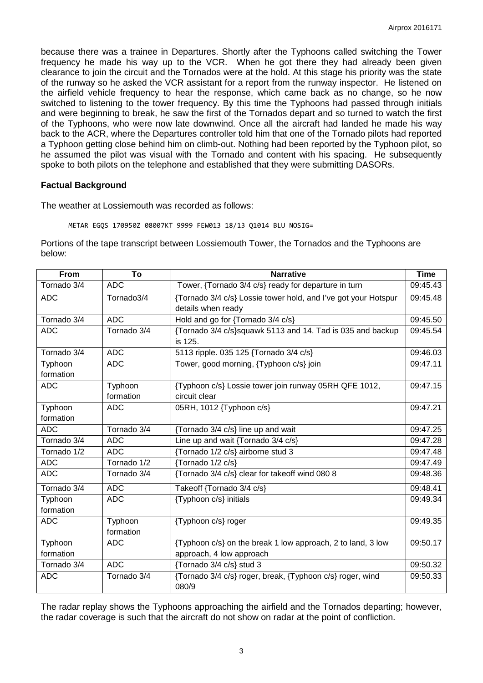because there was a trainee in Departures. Shortly after the Typhoons called switching the Tower frequency he made his way up to the VCR. When he got there they had already been given clearance to join the circuit and the Tornados were at the hold. At this stage his priority was the state of the runway so he asked the VCR assistant for a report from the runway inspector. He listened on the airfield vehicle frequency to hear the response, which came back as no change, so he now switched to listening to the tower frequency. By this time the Typhoons had passed through initials and were beginning to break, he saw the first of the Tornados depart and so turned to watch the first of the Typhoons, who were now late downwind. Once all the aircraft had landed he made his way back to the ACR, where the Departures controller told him that one of the Tornado pilots had reported a Typhoon getting close behind him on climb-out. Nothing had been reported by the Typhoon pilot, so he assumed the pilot was visual with the Tornado and content with his spacing. He subsequently spoke to both pilots on the telephone and established that they were submitting DASORs.

#### **Factual Background**

The weather at Lossiemouth was recorded as follows:

METAR EGQS 170950Z 08007KT 9999 FEW013 18/13 Q1014 BLU NOSIG=

Portions of the tape transcript between Lossiemouth Tower, the Tornados and the Typhoons are below:

| From                 | To                       | <b>Narrative</b>                                                                        | <b>Time</b> |
|----------------------|--------------------------|-----------------------------------------------------------------------------------------|-------------|
| Tornado 3/4          | <b>ADC</b>               | Tower, {Tornado 3/4 c/s} ready for departure in turn                                    | 09:45.43    |
| <b>ADC</b>           | Tornado3/4               | {Tornado 3/4 c/s} Lossie tower hold, and I've got your Hotspur                          | 09:45.48    |
|                      |                          | details when ready                                                                      |             |
| Tornado 3/4          | <b>ADC</b>               | Hold and go for {Tornado 3/4 c/s}                                                       | 09:45.50    |
| <b>ADC</b>           | Tornado 3/4              | {Tornado 3/4 c/s}squawk 5113 and 14. Tad is 035 and backup<br>is 125.                   | 09:45.54    |
| Tornado 3/4          | <b>ADC</b>               | 5113 ripple. 035 125 {Tornado 3/4 c/s}                                                  | 09:46.03    |
| Typhoon<br>formation | <b>ADC</b>               | Tower, good morning, {Typhoon c/s} join                                                 | 09:47.11    |
| <b>ADC</b>           | Typhoon                  | {Typhoon c/s} Lossie tower join runway 05RH QFE 1012,                                   | 09:47.15    |
|                      | formation                | circuit clear                                                                           |             |
| Typhoon              | <b>ADC</b>               | 05RH, 1012 {Typhoon c/s}                                                                | 09:47.21    |
| formation            |                          |                                                                                         |             |
| <b>ADC</b>           | Tornado 3/4              | {Tornado 3/4 c/s} line up and wait                                                      | 09:47.25    |
| Tornado 3/4          | <b>ADC</b>               | Line up and wait {Tornado 3/4 c/s}                                                      | 09:47.28    |
| Tornado 1/2          | <b>ADC</b>               | {Tornado 1/2 c/s} airborne stud 3                                                       | 09:47.48    |
| <b>ADC</b>           | Tornado $\overline{1/2}$ | {Tornado 1/2 c/s}                                                                       | 09:47.49    |
| <b>ADC</b>           | Tornado 3/4              | {Tornado 3/4 c/s} clear for takeoff wind 080 8                                          | 09:48.36    |
| Tornado 3/4          | <b>ADC</b>               | Takeoff {Tornado 3/4 c/s}                                                               | 09:48.41    |
| Typhoon<br>formation | <b>ADC</b>               | {Typhoon c/s} initials                                                                  | 09:49.34    |
| <b>ADC</b>           | Typhoon<br>formation     | {Typhoon c/s} roger                                                                     | 09:49.35    |
|                      | <b>ADC</b>               |                                                                                         | 09:50.17    |
| Typhoon<br>formation |                          | {Typhoon c/s} on the break 1 low approach, 2 to land, 3 low<br>approach, 4 low approach |             |
| Tornado 3/4          | <b>ADC</b>               | {Tornado 3/4 c/s} stud 3                                                                | 09:50.32    |
|                      |                          |                                                                                         |             |
| <b>ADC</b>           | Tornado 3/4              | {Tornado 3/4 c/s} roger, break, {Typhoon c/s} roger, wind<br>080/9                      | 09:50.33    |

The radar replay shows the Typhoons approaching the airfield and the Tornados departing; however, the radar coverage is such that the aircraft do not show on radar at the point of confliction.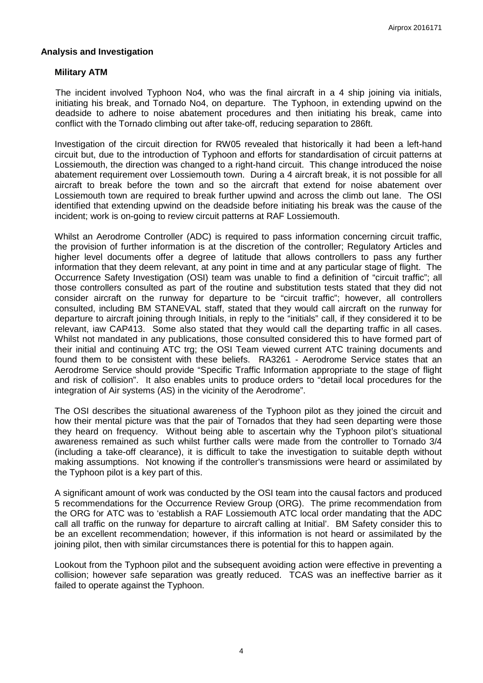### **Analysis and Investigation**

## **Military ATM**

The incident involved Typhoon No4, who was the final aircraft in a 4 ship joining via initials, initiating his break, and Tornado No4, on departure. The Typhoon, in extending upwind on the deadside to adhere to noise abatement procedures and then initiating his break, came into conflict with the Tornado climbing out after take-off, reducing separation to 286ft.

Investigation of the circuit direction for RW05 revealed that historically it had been a left-hand circuit but, due to the introduction of Typhoon and efforts for standardisation of circuit patterns at Lossiemouth, the direction was changed to a right-hand circuit. This change introduced the noise abatement requirement over Lossiemouth town. During a 4 aircraft break, it is not possible for all aircraft to break before the town and so the aircraft that extend for noise abatement over Lossiemouth town are required to break further upwind and across the climb out lane. The OSI identified that extending upwind on the deadside before initiating his break was the cause of the incident; work is on-going to review circuit patterns at RAF Lossiemouth.

Whilst an Aerodrome Controller (ADC) is required to pass information concerning circuit traffic, the provision of further information is at the discretion of the controller; Regulatory Articles and higher level documents offer a degree of latitude that allows controllers to pass any further information that they deem relevant, at any point in time and at any particular stage of flight. The Occurrence Safety Investigation (OSI) team was unable to find a definition of "circuit traffic"; all those controllers consulted as part of the routine and substitution tests stated that they did not consider aircraft on the runway for departure to be "circuit traffic"; however, all controllers consulted, including BM STANEVAL staff, stated that they would call aircraft on the runway for departure to aircraft joining through Initials, in reply to the "initials" call, if they considered it to be relevant, iaw CAP413. Some also stated that they would call the departing traffic in all cases. Whilst not mandated in any publications, those consulted considered this to have formed part of their initial and continuing ATC trg; the OSI Team viewed current ATC training documents and found them to be consistent with these beliefs. RA3261 - Aerodrome Service states that an Aerodrome Service should provide "Specific Traffic Information appropriate to the stage of flight and risk of collision". It also enables units to produce orders to "detail local procedures for the integration of Air systems (AS) in the vicinity of the Aerodrome".

The OSI describes the situational awareness of the Typhoon pilot as they joined the circuit and how their mental picture was that the pair of Tornados that they had seen departing were those they heard on frequency. Without being able to ascertain why the Typhoon pilot's situational awareness remained as such whilst further calls were made from the controller to Tornado 3/4 (including a take-off clearance), it is difficult to take the investigation to suitable depth without making assumptions. Not knowing if the controller's transmissions were heard or assimilated by the Typhoon pilot is a key part of this.

A significant amount of work was conducted by the OSI team into the causal factors and produced 5 recommendations for the Occurrence Review Group (ORG). The prime recommendation from the ORG for ATC was to 'establish a RAF Lossiemouth ATC local order mandating that the ADC call all traffic on the runway for departure to aircraft calling at Initial'. BM Safety consider this to be an excellent recommendation; however, if this information is not heard or assimilated by the joining pilot, then with similar circumstances there is potential for this to happen again.

Lookout from the Typhoon pilot and the subsequent avoiding action were effective in preventing a collision; however safe separation was greatly reduced. TCAS was an ineffective barrier as it failed to operate against the Typhoon.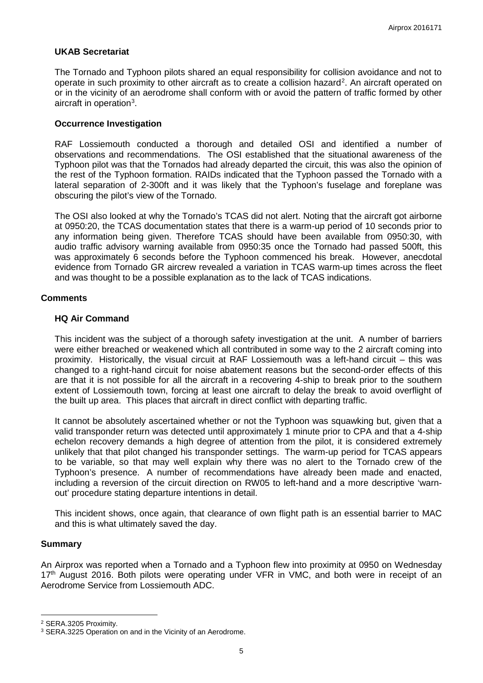## **UKAB Secretariat**

The Tornado and Typhoon pilots shared an equal responsibility for collision avoidance and not to operate in such proximity to other aircraft as to create a collision hazard<sup>[2](#page-4-0)</sup>. An aircraft operated on or in the vicinity of an aerodrome shall conform with or avoid the pattern of traffic formed by other aircraft in operation<sup>[3](#page-4-1)</sup>.

#### **Occurrence Investigation**

RAF Lossiemouth conducted a thorough and detailed OSI and identified a number of observations and recommendations. The OSI established that the situational awareness of the Typhoon pilot was that the Tornados had already departed the circuit, this was also the opinion of the rest of the Typhoon formation. RAIDs indicated that the Typhoon passed the Tornado with a lateral separation of 2-300ft and it was likely that the Typhoon's fuselage and foreplane was obscuring the pilot's view of the Tornado.

The OSI also looked at why the Tornado's TCAS did not alert. Noting that the aircraft got airborne at 0950:20, the TCAS documentation states that there is a warm-up period of 10 seconds prior to any information being given. Therefore TCAS should have been available from 0950:30, with audio traffic advisory warning available from 0950:35 once the Tornado had passed 500ft, this was approximately 6 seconds before the Typhoon commenced his break. However, anecdotal evidence from Tornado GR aircrew revealed a variation in TCAS warm-up times across the fleet and was thought to be a possible explanation as to the lack of TCAS indications.

## **Comments**

## **HQ Air Command**

This incident was the subject of a thorough safety investigation at the unit. A number of barriers were either breached or weakened which all contributed in some way to the 2 aircraft coming into proximity. Historically, the visual circuit at RAF Lossiemouth was a left-hand circuit – this was changed to a right-hand circuit for noise abatement reasons but the second-order effects of this are that it is not possible for all the aircraft in a recovering 4-ship to break prior to the southern extent of Lossiemouth town, forcing at least one aircraft to delay the break to avoid overflight of the built up area. This places that aircraft in direct conflict with departing traffic.

It cannot be absolutely ascertained whether or not the Typhoon was squawking but, given that a valid transponder return was detected until approximately 1 minute prior to CPA and that a 4-ship echelon recovery demands a high degree of attention from the pilot, it is considered extremely unlikely that that pilot changed his transponder settings. The warm-up period for TCAS appears to be variable, so that may well explain why there was no alert to the Tornado crew of the Typhoon's presence. A number of recommendations have already been made and enacted, including a reversion of the circuit direction on RW05 to left-hand and a more descriptive 'warnout' procedure stating departure intentions in detail.

This incident shows, once again, that clearance of own flight path is an essential barrier to MAC and this is what ultimately saved the day.

#### **Summary**

l

An Airprox was reported when a Tornado and a Typhoon flew into proximity at 0950 on Wednesday 17<sup>th</sup> August 2016. Both pilots were operating under VFR in VMC, and both were in receipt of an Aerodrome Service from Lossiemouth ADC.

<span id="page-4-0"></span><sup>2</sup> SERA.3205 Proximity.

<span id="page-4-1"></span><sup>&</sup>lt;sup>3</sup> SERA.3225 Operation on and in the Vicinity of an Aerodrome.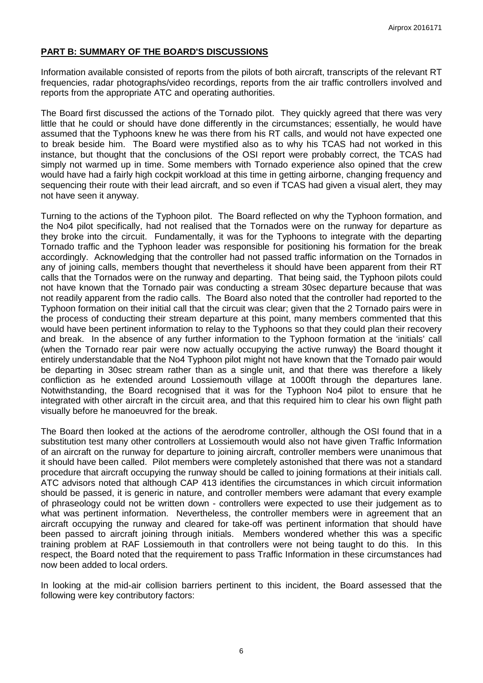## **PART B: SUMMARY OF THE BOARD'S DISCUSSIONS**

Information available consisted of reports from the pilots of both aircraft, transcripts of the relevant RT frequencies, radar photographs/video recordings, reports from the air traffic controllers involved and reports from the appropriate ATC and operating authorities.

The Board first discussed the actions of the Tornado pilot. They quickly agreed that there was very little that he could or should have done differently in the circumstances; essentially, he would have assumed that the Typhoons knew he was there from his RT calls, and would not have expected one to break beside him. The Board were mystified also as to why his TCAS had not worked in this instance, but thought that the conclusions of the OSI report were probably correct, the TCAS had simply not warmed up in time. Some members with Tornado experience also opined that the crew would have had a fairly high cockpit workload at this time in getting airborne, changing frequency and sequencing their route with their lead aircraft, and so even if TCAS had given a visual alert, they may not have seen it anyway.

Turning to the actions of the Typhoon pilot. The Board reflected on why the Typhoon formation, and the No4 pilot specifically, had not realised that the Tornados were on the runway for departure as they broke into the circuit. Fundamentally, it was for the Typhoons to integrate with the departing Tornado traffic and the Typhoon leader was responsible for positioning his formation for the break accordingly. Acknowledging that the controller had not passed traffic information on the Tornados in any of joining calls, members thought that nevertheless it should have been apparent from their RT calls that the Tornados were on the runway and departing. That being said, the Typhoon pilots could not have known that the Tornado pair was conducting a stream 30sec departure because that was not readily apparent from the radio calls. The Board also noted that the controller had reported to the Typhoon formation on their initial call that the circuit was clear; given that the 2 Tornado pairs were in the process of conducting their stream departure at this point, many members commented that this would have been pertinent information to relay to the Typhoons so that they could plan their recovery and break. In the absence of any further information to the Typhoon formation at the 'initials' call (when the Tornado rear pair were now actually occupying the active runway) the Board thought it entirely understandable that the No4 Typhoon pilot might not have known that the Tornado pair would be departing in 30sec stream rather than as a single unit, and that there was therefore a likely confliction as he extended around Lossiemouth village at 1000ft through the departures lane. Notwithstanding, the Board recognised that it was for the Typhoon No4 pilot to ensure that he integrated with other aircraft in the circuit area, and that this required him to clear his own flight path visually before he manoeuvred for the break.

The Board then looked at the actions of the aerodrome controller, although the OSI found that in a substitution test many other controllers at Lossiemouth would also not have given Traffic Information of an aircraft on the runway for departure to joining aircraft, controller members were unanimous that it should have been called. Pilot members were completely astonished that there was not a standard procedure that aircraft occupying the runway should be called to joining formations at their initials call. ATC advisors noted that although CAP 413 identifies the circumstances in which circuit information should be passed, it is generic in nature, and controller members were adamant that every example of phraseology could not be written down - controllers were expected to use their judgement as to what was pertinent information. Nevertheless, the controller members were in agreement that an aircraft occupying the runway and cleared for take-off was pertinent information that should have been passed to aircraft joining through initials. Members wondered whether this was a specific training problem at RAF Lossiemouth in that controllers were not being taught to do this. In this respect, the Board noted that the requirement to pass Traffic Information in these circumstances had now been added to local orders.

In looking at the mid-air collision barriers pertinent to this incident, the Board assessed that the following were key contributory factors: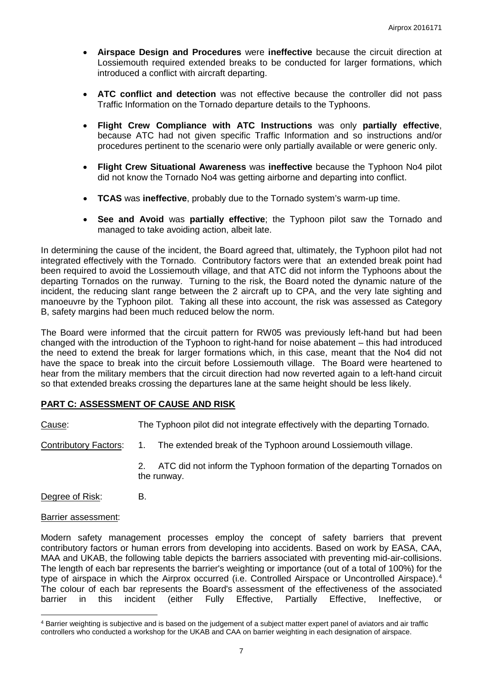- **Airspace Design and Procedures** were **ineffective** because the circuit direction at Lossiemouth required extended breaks to be conducted for larger formations, which introduced a conflict with aircraft departing.
- **ATC conflict and detection** was not effective because the controller did not pass Traffic Information on the Tornado departure details to the Typhoons.
- **Flight Crew Compliance with ATC Instructions** was only **partially effective**, because ATC had not given specific Traffic Information and so instructions and/or procedures pertinent to the scenario were only partially available or were generic only.
- **Flight Crew Situational Awareness** was **ineffective** because the Typhoon No4 pilot did not know the Tornado No4 was getting airborne and departing into conflict.
- **TCAS** was **ineffective**, probably due to the Tornado system's warm-up time.
- **See and Avoid** was **partially effective**; the Typhoon pilot saw the Tornado and managed to take avoiding action, albeit late.

In determining the cause of the incident, the Board agreed that, ultimately, the Typhoon pilot had not integrated effectively with the Tornado. Contributory factors were that an extended break point had been required to avoid the Lossiemouth village, and that ATC did not inform the Typhoons about the departing Tornados on the runway. Turning to the risk, the Board noted the dynamic nature of the incident, the reducing slant range between the 2 aircraft up to CPA, and the very late sighting and manoeuvre by the Typhoon pilot. Taking all these into account, the risk was assessed as Category B, safety margins had been much reduced below the norm.

The Board were informed that the circuit pattern for RW05 was previously left-hand but had been changed with the introduction of the Typhoon to right-hand for noise abatement – this had introduced the need to extend the break for larger formations which, in this case, meant that the No4 did not have the space to break into the circuit before Lossiemouth village. The Board were heartened to hear from the military members that the circuit direction had now reverted again to a left-hand circuit so that extended breaks crossing the departures lane at the same height should be less likely.

#### **PART C: ASSESSMENT OF CAUSE AND RISK**

Cause: The Typhoon pilot did not integrate effectively with the departing Tornado.

- Contributory Factors: 1. The extended break of the Typhoon around Lossiemouth village.
	- 2. ATC did not inform the Typhoon formation of the departing Tornados on the runway.

Degree of Risk: B.

#### Barrier assessment:

l

Modern safety management processes employ the concept of safety barriers that prevent contributory factors or human errors from developing into accidents. Based on work by EASA, CAA, MAA and UKAB, the following table depicts the barriers associated with preventing mid-air-collisions. The length of each bar represents the barrier's weighting or importance (out of a total of 100%) for the type of airspace in which the Airprox occurred (i.e. Controlled Airspace or Uncontrolled Airspace).<sup>[4](#page-6-0)</sup> The colour of each bar represents the Board's assessment of the effectiveness of the associated<br>barrier in this incident (either Fully Effective. Partially Effective. Ineffective. or (either Fully Effective, Partially Effective, Ineffective, or

<span id="page-6-0"></span><sup>4</sup> Barrier weighting is subjective and is based on the judgement of a subject matter expert panel of aviators and air traffic controllers who conducted a workshop for the UKAB and CAA on barrier weighting in each designation of airspace.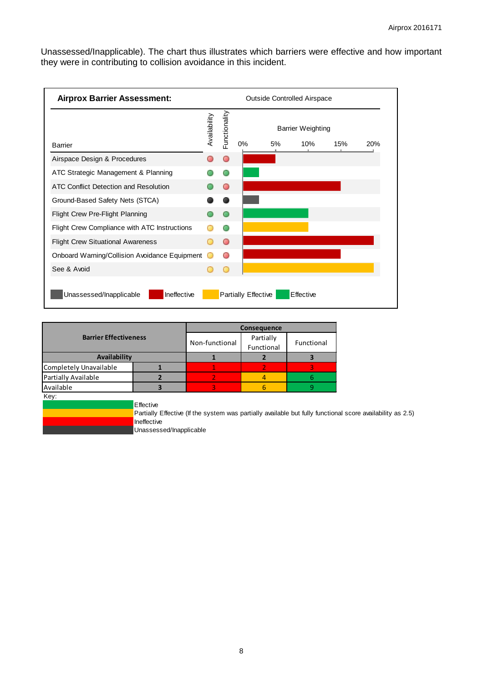Unassessed/Inapplicable). The chart thus illustrates which barriers were effective and how important they were in contributing to collision avoidance in this incident.



|                              |                                                                                                            | Consequence             |            |  |  |  |  |
|------------------------------|------------------------------------------------------------------------------------------------------------|-------------------------|------------|--|--|--|--|
| <b>Barrier Effectiveness</b> | Non-functional                                                                                             | Partially<br>Functional | Functional |  |  |  |  |
| Availability                 |                                                                                                            |                         |            |  |  |  |  |
| Completely Unavailable       |                                                                                                            |                         |            |  |  |  |  |
| Partially Available          |                                                                                                            |                         | 4          |  |  |  |  |
| Available                    |                                                                                                            |                         | 6          |  |  |  |  |
| Key:                         |                                                                                                            |                         |            |  |  |  |  |
|                              | Effective                                                                                                  |                         |            |  |  |  |  |
|                              | Partially Effective (If the system was partially available but fully functional score availability as 2.5) |                         |            |  |  |  |  |
|                              | Ineffective                                                                                                |                         |            |  |  |  |  |
|                              |                                                                                                            |                         |            |  |  |  |  |

Unassessed/Inapplicable